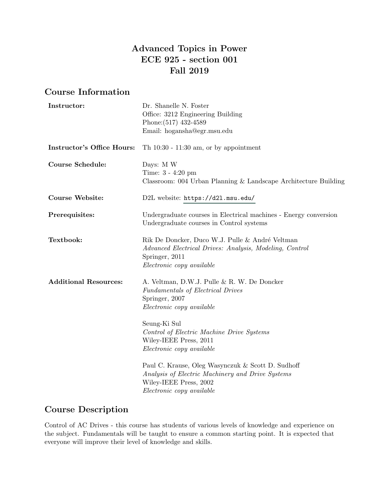# Advanced Topics in Power ECE 925 - section 001 Fall 2019

## Course Information

| Instructor:                       | Dr. Shanelle N. Foster                                                                                                                                       |  |  |
|-----------------------------------|--------------------------------------------------------------------------------------------------------------------------------------------------------------|--|--|
|                                   | Office: 3212 Engineering Building                                                                                                                            |  |  |
|                                   | Phone: (517) 432-4589                                                                                                                                        |  |  |
|                                   | Email: hogansha@egr.msu.edu                                                                                                                                  |  |  |
| <b>Instructor's Office Hours:</b> | Th $10:30 - 11:30$ am, or by appointment                                                                                                                     |  |  |
| <b>Course Schedule:</b>           | Days: M W                                                                                                                                                    |  |  |
|                                   | Time: 3 - 4:20 pm<br>Classroom: 004 Urban Planning & Landscape Architecture Building                                                                         |  |  |
| <b>Course Website:</b>            | D2L website: https://d2l.msu.edu/                                                                                                                            |  |  |
| Prerequisites:                    | Undergraduate courses in Electrical machines - Energy conversion<br>Undergraduate courses in Control systems                                                 |  |  |
| Textbook:                         | Rik De Doncker, Duco W.J. Pulle & André Veltman<br>Advanced Electrical Drives: Analysis, Modeling, Control<br>Springer, 2011<br>Electronic copy available    |  |  |
| <b>Additional Resources:</b>      | A. Veltman, D.W.J. Pulle & R. W. De Doncker<br>Fundamentals of Electrical Drives<br>Springer, 2007<br>Electronic copy available                              |  |  |
|                                   | Seung-Ki Sul<br>Control of Electric Machine Drive Systems<br>Wiley-IEEE Press, 2011<br>Electronic copy available                                             |  |  |
|                                   | Paul C. Krause, Oleg Wasynczuk & Scott D. Sudhoff<br>Analysis of Electric Machinery and Drive Systems<br>Wiley-IEEE Press, 2002<br>Electronic copy available |  |  |

# Course Description

Control of AC Drives - this course has students of various levels of knowledge and experience on the subject. Fundamentals will be taught to ensure a common starting point. It is expected that everyone will improve their level of knowledge and skills.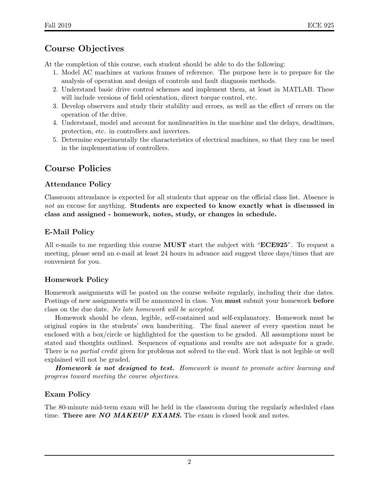# Course Objectives

At the completion of this course, each student should be able to do the following:

- 1. Model AC machines at various frames of reference. The purpose here is to prepare for the analysis of operation and design of controls and fault diagnosis methods.
- 2. Understand basic drive control schemes and implement them, at least in MATLAB. These will include versions of field orientation, direct torque control, etc.
- 3. Develop observers and study their stability and errors, as well as the effect of errors on the operation of the drive.
- 4. Understand, model and account for nonlinearities in the machine and the delays, deadtimes, protection, etc. in controllers and inverters.
- 5. Determine experimentally the characteristics of electrical machines, so that they can be used in the implementation of controllers.

# Course Policies

#### Attendance Policy

Classroom attendance is expected for all students that appear on the official class list. Absence is not an excuse for anything. Students are expected to know exactly what is discussed in class and assigned - homework, notes, study, or changes in schedule.

#### E-Mail Policy

All e-mails to me regarding this course **MUST** start the subject with "**ECE925**". To request a meeting, please send an e-mail at least 24 hours in advance and suggest three days/times that are convenient for you.

### Homework Policy

Homework assignments will be posted on the course website regularly, including their due dates. Postings of new assignments will be announced in class. You **must** submit your homework **before** class on the due date. No late homework will be accepted.

Homework should be clean, legible, self-contained and self-explanatory. Homework must be original copies in the students' own handwriting. The final answer of every question must be enclosed with a box/circle or highlighted for the question to be graded. All assumptions must be stated and thoughts outlined. Sequences of equations and results are not adequate for a grade. There is no partial credit given for problems not solved to the end. Work that is not legible or well explained will not be graded.

Homework is not designed to test. Homework is meant to promote active learning and progress toward meeting the course objectives.

### Exam Policy

The 80-minute mid-term exam will be held in the classroom during the regularly scheduled class time. There are NO MAKEUP EXAMS. The exam is closed book and notes.